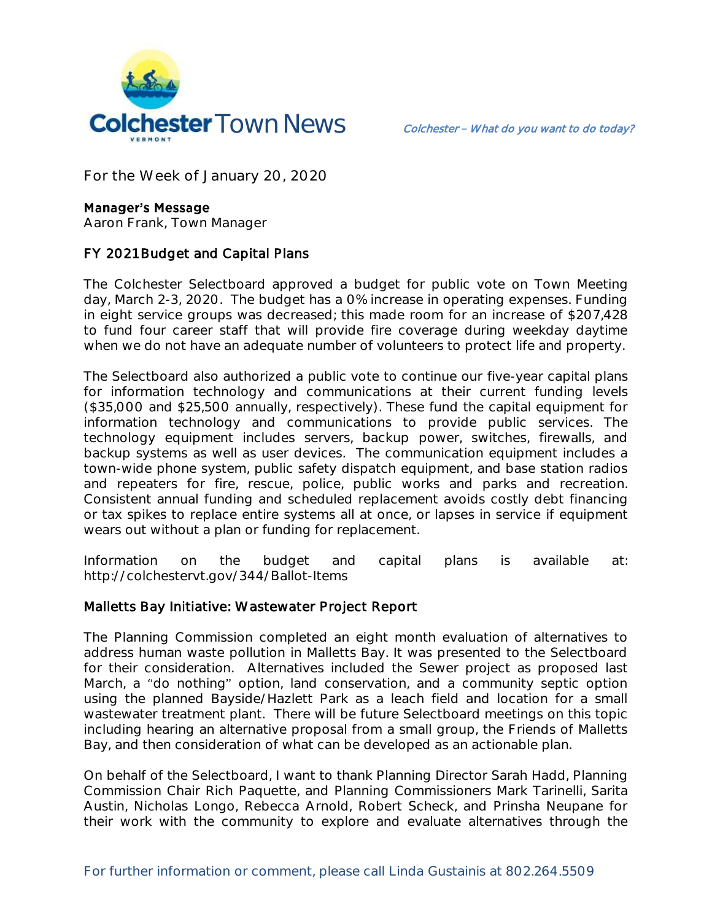

**For the Week of January 20, 2020**

## **Manager's Message**

**Aaron Frank, Town Manager**

# FY 2021 Budget and Capital Plans

The Colchester Selectboard approved a budget for public vote on Town Meeting day, March 2-3, 2020. The budget has a 0% increase in operating expenses. Funding in eight service groups was decreased; this made room for an increase of \$207,428 to fund four career staff that will provide fire coverage during weekday daytime when we do not have an adequate number of volunteers to protect life and property.

The Selectboard also authorized a public vote to continue our five-year capital plans for information technology and communications at their current funding levels (\$35,000 and \$25,500 annually, respectively). These fund the capital equipment for information technology and communications to provide public services. The technology equipment includes servers, backup power, switches, firewalls, and backup systems as well as user devices. The communication equipment includes a town-wide phone system, public safety dispatch equipment, and base station radios and repeaters for fire, rescue, police, public works and parks and recreation. Consistent annual funding and scheduled replacement avoids costly debt financing or tax spikes to replace entire systems all at once, or lapses in service if equipment wears out without a plan or funding for replacement.

Information on the budget and capital plans is available at: http://colchestervt.gov/344/Ballot-Items

## Malletts Bay Initiative: Wastewater Project Report

The Planning Commission completed an eight month evaluation of alternatives to address human waste pollution in Malletts Bay. It was presented to the Selectboard for their consideration. Alternatives included the Sewer project as proposed last March, a "do nothing" option, land conservation, and a community septic option using the planned Bayside/Hazlett Park as a leach field and location for a small wastewater treatment plant. There will be future Selectboard meetings on this topic including hearing an alternative proposal from a small group, the Friends of Malletts Bay, and then consideration of what can be developed as an actionable plan.

On behalf of the Selectboard, I want to thank Planning Director Sarah Hadd, Planning Commission Chair Rich Paquette, and Planning Commissioners Mark Tarinelli, Sarita Austin, Nicholas Longo, Rebecca Arnold, Robert Scheck, and Prinsha Neupane for their work with the community to explore and evaluate alternatives through the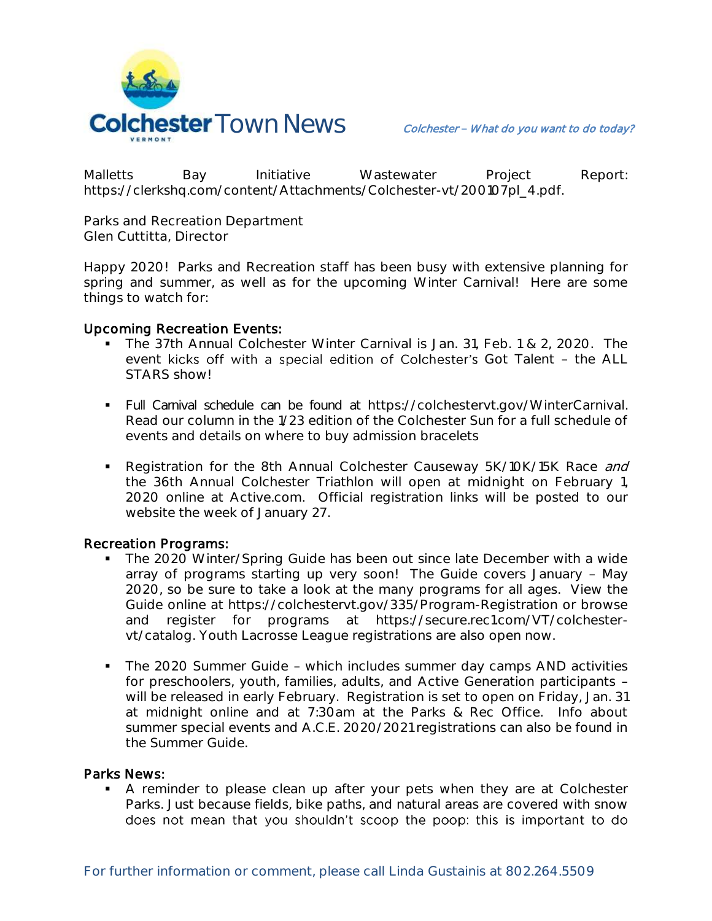

Malletts Bay Initiative Wastewater Project Report: https://clerkshq.com/content/Attachments/Colchester-vt/200107pl\_4.pdf.

**Parks and Recreation Department Glen Cuttitta, Director**

Happy 2020! Parks and Recreation staff has been busy with extensive planning for spring and summer, as well as for the upcoming Winter Carnival! Here are some things to watch for:

### Upcoming Recreation Events:

- The 37th Annual Colchester Winter Carnival is Jan. 31, Feb. 1 & 2, 2020. The event kicks off with a special edition of Colchester's Got Talent - the ALL STARS show!
- Full Carnival schedule can be found at https://colchestervt.gov/WinterCarnival. Read our column in the 1/23 edition of the Colchester Sun for a full schedule of events and details on where to buy admission bracelets
- Reqistration for the 8th Annual Colchester Causeway 5K/10K/15K Race and the 36th Annual Colchester Triathlon will open at midnight on February 1, 2020 online at Active.com. Official registration links will be posted to our website the week of January 27.

## Recreation Programs:

- The 2020 Winter/Spring Guide has been out since late December with a wide array of programs starting up very soon! The Guide covers January - May 2020, so be sure to take a look at the many programs for all ages. View the Guide online at https://colchestervt.gov/335/Program-Registration or browse and register for programs at https://secure.rec1.com/VT/colchestervt/catalog. Youth Lacrosse League registrations are also open now.
- The 2020 Summer Guide which includes summer day camps AND activities for preschoolers, youth, families, adults, and Active Generation participants will be released in early February. Registration is set to open on Friday, Jan. 31 at midnight online and at 7:30am at the Parks & Rec Office. Info about summer special events and A.C.E. 2020/2021 registrations can also be found in the Summer Guide.

#### Parks News:

A reminder to please clean up after your pets when they are at Colchester Parks. Just because fields, bike paths, and natural areas are covered with snow does not mean that you shouldn't scoop the poop: this is important to do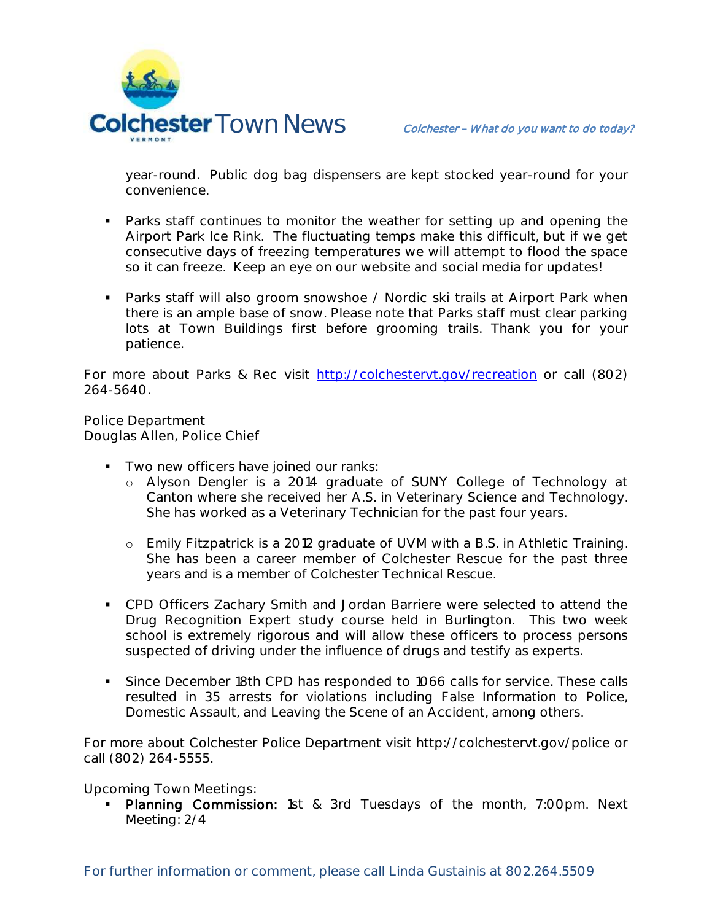

year-round. Public dog bag dispensers are kept stocked year-round for your convenience.

- **Parks staff continues to monitor the weather for setting up and opening the** Airport Park Ice Rink. The fluctuating temps make this difficult, but if we get consecutive days of freezing temperatures we will attempt to flood the space so it can freeze. Keep an eye on our website and social media for updates!
- **Parks staff will also groom snowshoe / Nordic ski trails at Airport Park when** there is an ample base of snow. Please note that Parks staff must clear parking lots at Town Buildings first before grooming trails. Thank you for your patience.

For more about Parks & Rec visit [http://colchestervt.gov/recreation](http://colchestervt.gov/Recreation/parksNRec.shtml) or call (802) 264-5640.

**Police Department Douglas Allen, Police Chief** 

- **Two new officers have joined our ranks:** 
	- o Alyson Dengler is a 2014 graduate of SUNY College of Technology at Canton where she received her A.S. in Veterinary Science and Technology. She has worked as a Veterinary Technician for the past four years.
	- o Emily Fitzpatrick is a 2012 graduate of UVM with a B.S. in Athletic Training. She has been a career member of Colchester Rescue for the past three years and is a member of Colchester Technical Rescue.
- CPD Officers Zachary Smith and Jordan Barriere were selected to attend the Drug Recognition Expert study course held in Burlington. This two week school is extremely rigorous and will allow these officers to process persons suspected of driving under the influence of drugs and testify as experts.
- Since December 18th CPD has responded to 1066 calls for service. These calls resulted in 35 arrests for violations including False Information to Police, Domestic Assault, and Leaving the Scene of an Accident, among others.

For more about Colchester Police Department visit http://colchestervt.gov/police or call (802) 264-5555.

**Upcoming Town Meetings:** 

 Planning Commission: 1st & 3rd Tuesdays of the month, 7:00pm. Next Meeting: 2/4